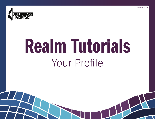



# Realm Tutorials Your Profile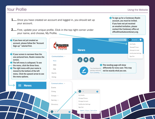#### Your Profile

- **1....** Once you have created an account and logged in, you should set up your account.
- **2....** First, update your unique profile. Click in the top right corner under your name, and choose, My Profile.

If you have not yet created an account, please follow the "Account Sign-up" tutorial first.

If your screen is narrower than the one pictured here, Realm resizes the screen.

The left menu is collapsed. To see the menu, click the three lines.

 $\blacksquare$  The right menu with your name is moved to the bottom of the left menu. Click the upward arrow to see the menu options.

**News** 



To sign up for a Centenary Realm account, you must be invited. If you have not yet received an emailed invitation, please contact the Centenary office at office@mankatocentenary.org.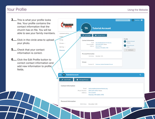#### Using the Website

## Your Profile

- 3.... This is what your profile looks like. Your profile contains the contact information that the church has on file. You will be able to see your family members.
- 4.... Click in the circle area to upload your photo.
- 5.... Check that your contact information is correct.

**TANA** 

6.... Click the Edit Profile button to correct contact information and add new information to profile fields.

| Communications v                                                               |                                  |                                                                                                                                                                                              |                           |                                                                                     |
|--------------------------------------------------------------------------------|----------------------------------|----------------------------------------------------------------------------------------------------------------------------------------------------------------------------------------------|---------------------------|-------------------------------------------------------------------------------------|
| <b>Events</b><br>Giving<br>Groups $\sim$<br>Serving $\sim$<br><b>Directory</b> | $\bigstar$ Edit Profile          | <b>A</b> Manage Privacy<br><b>Contact Information</b><br>Email<br>welcome@mankatocentenary.org<br>Phone Number<br>(507) 225-6370 / Home<br>Address<br>501 S 2nd St<br>Mankato, MN 56001-3705 | Family<br>PA<br><b>IA</b> | <b>Partner Account</b><br>Primary<br><b>Junior Account</b><br>Child<br>+ Add family |
|                                                                                |                                  | <b>Personal Information</b><br>Birth Date December 12th                                                                                                                                      |                           |                                                                                     |
|                                                                                | Groups                           | Member Of Centenary United Methodist Church                                                                                                                                                  |                           |                                                                                     |
| <b>TA</b> Tutorial Account                                                     | <b>A</b> Manage Privacy          |                                                                                                                                                                                              |                           | Q                                                                                   |
| i<br><b>Edit Profile</b>                                                       |                                  |                                                                                                                                                                                              |                           |                                                                                     |
| <b>Contact Information</b>                                                     | Email<br>Phone Number<br>Address | welcome@mankatocentenary.org<br>(507) 225-6370 / Home<br>501 S 2nd St<br>Mankato, MN 56001-3705                                                                                              |                           |                                                                                     |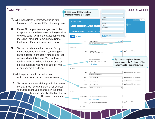## Your Profile

- **7.....** Fill in the Contact Information fields with the correct information, if it's not already there.
- 8.....Please fill out your name as you would like it to appear. If something looks odd to you, click the blue pencil to fill in the exact name fields, including Title, First Name, Middle Name, Last Name, Preferred Name, and Suffix.
- **9.....** Your address is shared across your family, if the addresses are linked. If you change a linked address, it changes if for all linked. You will see who is linked here. You can have a family member who has a different address (ie. an adult child who would like to get mail at an apartment or dorm).
- 10... Fill in phone numbers, and choose which number is the best number to use.
- 11... Your email is the email that your invitation was sent to. If you have a different email address you would like to use, change it in the email field and then click the blue link to Update account email.